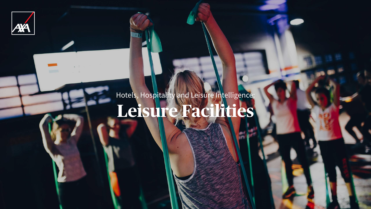

# Hotels, Hospitality and Leisure Intelligence: **Leisure Facilities**

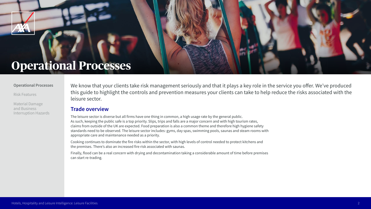We know that your clients take risk management seriously and that it plays a key role in the service you offer. We've produced this guide to highlight the controls and prevention measures your clients can take to help reduce the risks associated with the leisure sector.



### **Operational Processes**

#### **Operational Processes**

Risk Features

Material Damage and Business Interruption Hazards



### **Trade overview**

Finally, flood can be a real concern with drying and decontamination taking a considerable amount of time before premises can start re-trading.

The leisure sector is diverse but all firms have one thing in common, a high usage rate by the general public. As such, keeping the public safe is a top priority. Slips, trips and falls are a major concern and with high tourism rates, claims from outside of the UK are expected. Food preparation is also a common theme and therefore high hygiene safety standards need to be observed. The leisure sector includes: gyms, day spas, swimming pools, saunas and steam rooms with appropriate care and maintenance needed as a priority.

Cooking continues to dominate the fire risks within the sector, with high levels of control needed to protect kitchens and the premises. There's also an increased fire risk associated with saunas.



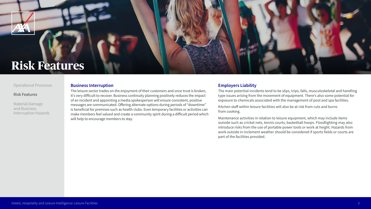#### **Business Interruption**

The leisure sector trades on the enjoyment of their customers and once trust is broken, it's very difficult to recover. Business continuity planning positively reduces the impact of an incident and appointing a media spokesperson will ensure consistent, positive messages are communicated. Offering alternate options during periods of "downtime" is beneficial for premises such as health clubs. Even temporary facilities or activities can make members feel valued and create a community spirit during a difficult period which will help to encourage members to stay.

#### **Employers Liability**

The main potential incidents tend to be slips, trips, falls, musculoskeletal and handling type issues arising from the movement of equipment. There's also some potential for exposure to chemicals associated with the management of pool and spa facilities.

Kitchen staff within leisure facilities will also be at risk from cuts and burns from cooking.

Maintenance activities in relation to leisure equipment, which may include items outside such as cricket nets, tennis courts, basketball hoops. Floodlighting may also introduce risks from the use of portable power tools or work at height. Hazards from work outside in inclement weather should be considered if sports fields or courts are part of the facilities provided.









### **Risk Features**

#### Operational Processes

#### **Risk Features**

Material Damage and Business Interruption Hazards

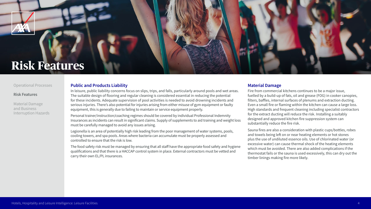

#### Operational Processes

#### **Risk Features**

Material Damage and Business Interruption Hazards



### **Risk Features**

#### **Public and Products Liability**

In leisure, public liability concerns focus on slips, trips, and falls, particularly around pools and wet areas. The suitable design of flooring and regular cleaning is considered essential in reducing the potential for these incidents. Adequate supervision of pool activities is needed to avoid drowning incidents and serious injuries. There's also potential for injuries arising from either misuse of gym equipment or faulty equipment, this is generally due to failing to maintain or service equipment properly.

Personal trainer/instruction/coaching regimes should be covered by individual Professional Indemnity Insurances as incidents can result in significant claims. Supply of supplements to aid training and weight loss must be carefully managed to avoid any issues arising.

Legionella is an area of potentially high risk leading from the poor management of water systems, pools, cooling towers, and spa pools. Areas where bacteria can accumulate must be properly assessed and controlled to ensure that the risk is low.

The food safety risk must be managed by ensuring that all staff have the appropriate food safety and hygiene qualifications and that there is a HACCAP control system in place. External contractors must be vetted and carry their own EL/PL insurances.

#### **Material Damage**

Fire from commercial kitchens continues to be a major issue, fuelled by a build-up of fats, oil and grease (FOG) in cooker canopies, filters, baffles, internal surfaces of plenums and extraction ducting. Even a small fire or flaming within the kitchen can cause a large loss. High standards and frequent cleaning including specialist contractors for the extract ducting will reduce the risk. Installing a suitably designed and approved kitchen fire suppression system can substantially reduce the fire risk.

Sauna fires are also a consideration with plastic cups/bottles, robes and towels being left on or near heating elements or hot stones plus the use of undiluted essence oils. Use of chlorinated water (or excessive water) can cause thermal shock of the heating elements which must be avoided. There are also added complications if the thermostat fails or the sauna is used excessively, this can dry out the timber linings making fire more likely.





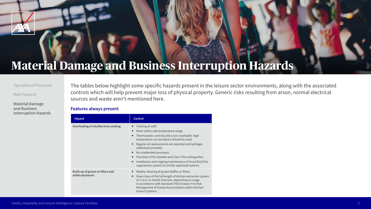| <b>Hazard</b>                                         | <b>Control</b>                                                                                                                                                                                                                                                                                                           |  |
|-------------------------------------------------------|--------------------------------------------------------------------------------------------------------------------------------------------------------------------------------------------------------------------------------------------------------------------------------------------------------------------------|--|
| Overheating of oils/fats from cooking.                | Training of staff.<br>Work within safe temperature<br>■<br>Thermostatic controls and a r<br>temperature cut-out device sl<br>Regular oil replacements are<br>addressed promptly.<br>No unattended processes.<br>Provision of fire blanket and C<br>Installation and ongoing mair<br>■<br>suppression system (or similary |  |
| Build-up of grease on filters and<br>within ductwork. | Weekly cleaning of grease baf<br>Deep clean of the full length o<br>■<br>at 3, 6 or 12 month intervals,<br>in accordance with Standard<br><b>Management of Grease Accun</b><br><b>Extract Systems.</b>                                                                                                                   |  |

The tables below highlight some specific hazards present in the leisure sector environments, along with the associated controls which will help prevent major loss of physical property. Generic risks resulting from arson, normal electrical sources and waste aren't mentioned here.

#### **Features always present**



#### Operational Processes

#### Risk Features

**Material Damage and Business Interruption Hazards**



# **Material Damage and Business Interruption Hazards**

range.

non-resettable high nould be used.

essential and spillages

Class F fire extinguisher. ntenance of Ansul R102 fire ar approved system).

ffles or filters.

of kitchen extraction system depending on usage TR19 Grease: Fire Risk nulation within Kitchen

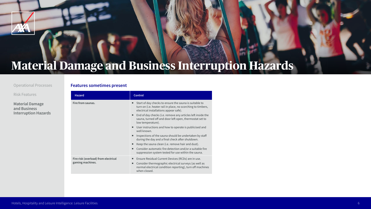| <b>Control</b>                                                                                                                                     |  |
|----------------------------------------------------------------------------------------------------------------------------------------------------|--|
| Start of day checks to ensure<br>■<br>turn on (i.e. heater rail in place<br>electrical installations appear<br>End of day checks (i.e. remove<br>■ |  |
| sauna, turned off and door lef<br>low temperature).                                                                                                |  |
| User instructions and how to<br>well known.                                                                                                        |  |
| Inspections of the sauna shou<br>п<br>during the day and a final che                                                                               |  |
| Keep the sauna clean (i.e. rem<br>п                                                                                                                |  |
| Consider automatic fire detec<br>suppression system tested for                                                                                     |  |
| <b>Ensure Residual Current Devion</b><br>■                                                                                                         |  |
| Consider thermographic elect<br>п<br>normal electrical condition re<br>when closed.                                                                |  |
|                                                                                                                                                    |  |

#### **Features sometimes present**



#### Operational Processes

Risk Features

**Material Damage and Business Interruption Hazards**



# **Material Damage and Business Interruption Hazards**

the sauna is suitable to te, no scorching to timbers, r safe).

e any articles left inside the ft open, thermostat set to

operate is publicised and

uld be undertaken by staff eck after shutdown.

nove hair and dust).

tion and/or a suitable fire r use within the sauna.

ces (RCDs) are in use.

trical surveys (as well as eporting), turn off machines

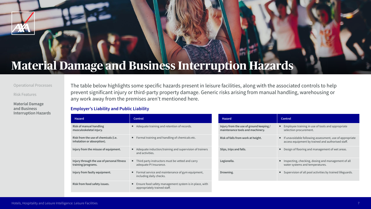The table below highlights some specific hazards present in leisure facilities, along with the associated controls to help prevent significant injury or third-party property damage. Generic risks arising from manual handling, warehousing or any work away from the premises aren't mentioned here.

| <b>Hazard</b>                                                      | <b>Control</b>                                                                           | <b>Hazard</b>                                                               | <b>Control</b>                                                                                                 |
|--------------------------------------------------------------------|------------------------------------------------------------------------------------------|-----------------------------------------------------------------------------|----------------------------------------------------------------------------------------------------------------|
| <b>Risk of manual handling</b><br>musculoskeletal injury.          | Adequate training and retention of records.                                              | Injury from the use of ground keeping /<br>maintenance tools and machinery. | ■ Employee training in use of tools and appropriate<br>selection procurement.                                  |
| Risk from the use of chemicals (i.e.<br>inhalation or absorption). | Formal training and handling of chemicals etc.                                           | Risk of falls from work at height.                                          | • If unavoidable following assessment, use of appropriate<br>access equipment by trained and authorised staff. |
| Injury from the misuse of equipment.                               | Adequate induction/training and supervision of trainers<br>and activities.               | Slips, trips and falls.                                                     | ■ Design of flooring and management of wet areas.                                                              |
| Injury through the use of personal fitness<br>training/programs.   | • Third party instructors must be vetted and carry<br>adequate PI Insurance.             | Legionella.                                                                 | Inspecting, checking, dosing and management of all<br>water systems and temperatures.                          |
| Injury from faulty equipment.                                      | ■ Formal service and maintenance of gym equipment,<br>including daily checks.            | Drowning.                                                                   | ■ Supervision of all pool activities by trained lifeguards.                                                    |
| Risk from food safety issues.                                      | ■ Ensure food safety management system is in place, with<br>appropriately trained staff. |                                                                             |                                                                                                                |

#### **Employer's Liability and Public Liability**



#### Operational Processes

Risk Features

**Material Damage and Business Interruption Hazards**



## **Material Damage and Business Interruption Hazards**